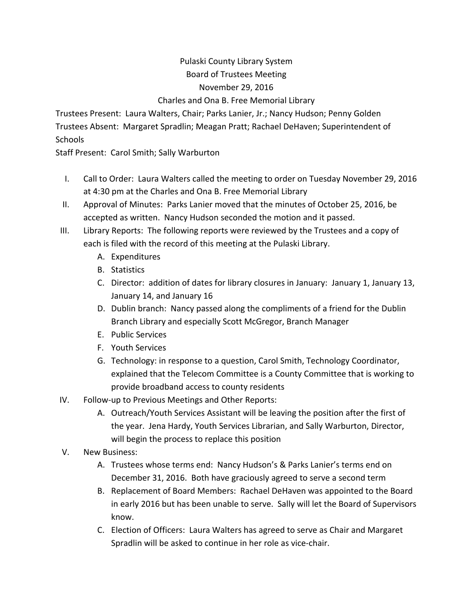## Pulaski County Library System Board of Trustees Meeting November 29, 2016 Charles and Ona B. Free Memorial Library

Trustees Present: Laura Walters, Chair; Parks Lanier, Jr.; Nancy Hudson; Penny Golden Trustees Absent: Margaret Spradlin; Meagan Pratt; Rachael DeHaven; Superintendent of **Schools** 

Staff Present: Carol Smith; Sally Warburton

- I. Call to Order: Laura Walters called the meeting to order on Tuesday November 29, 2016 at 4:30 pm at the Charles and Ona B. Free Memorial Library
- II. Approval of Minutes: Parks Lanier moved that the minutes of October 25, 2016, be accepted as written. Nancy Hudson seconded the motion and it passed.
- III. Library Reports: The following reports were reviewed by the Trustees and a copy of each is filed with the record of this meeting at the Pulaski Library.
	- A. Expenditures
	- B. Statistics
	- C. Director: addition of dates for library closures in January: January 1, January 13, January 14, and January 16
	- D. Dublin branch: Nancy passed along the compliments of a friend for the Dublin Branch Library and especially Scott McGregor, Branch Manager
	- E. Public Services
	- F. Youth Services
	- G. Technology: in response to a question, Carol Smith, Technology Coordinator, explained that the Telecom Committee is a County Committee that is working to provide broadband access to county residents
- IV. Follow‐up to Previous Meetings and Other Reports:
	- A. Outreach/Youth Services Assistant will be leaving the position after the first of the year. Jena Hardy, Youth Services Librarian, and Sally Warburton, Director, will begin the process to replace this position
- V. New Business:
	- A. Trustees whose terms end: Nancy Hudson's & Parks Lanier's terms end on December 31, 2016. Both have graciously agreed to serve a second term
	- B. Replacement of Board Members: Rachael DeHaven was appointed to the Board in early 2016 but has been unable to serve. Sally will let the Board of Supervisors know.
	- C. Election of Officers: Laura Walters has agreed to serve as Chair and Margaret Spradlin will be asked to continue in her role as vice-chair.